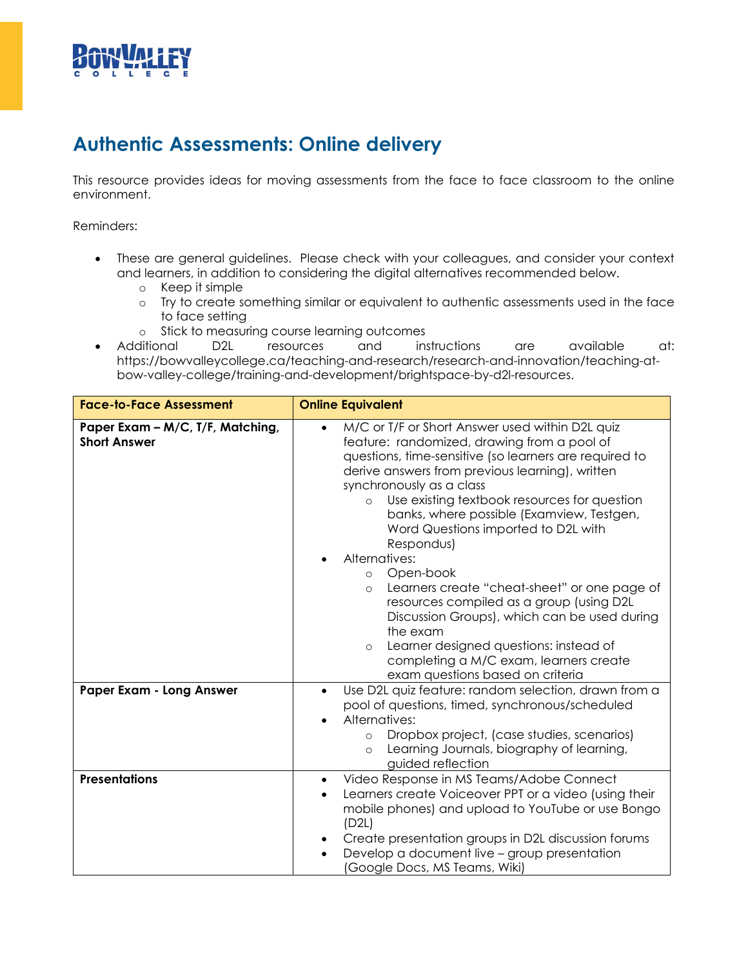

## **Authentic Assessments: Online delivery**

This resource provides ideas for moving assessments from the face to face classroom to the online environment.

Reminders:

- These are general guidelines. Please check with your colleagues, and consider your context and learners, in addition to considering the digital alternatives recommended below.
	- o Keep it simple
	- o Try to create something similar or equivalent to authentic assessments used in the face to face setting
	-
- o Stick to measuring course learning outcomes<br>
ditional D2L resources and instructions • Additional D2L resources and instructions are available at: https://bowvalleycollege.ca/teaching-and-research/research-and-innovation/teaching-atbow-valley-college/training-and-development/brightspace-by-d2l-resources.

| <b>Face-to-Face Assessment</b>                          | <b>Online Equivalent</b>                                                                                                                                                                                                                                                                                                                                                                                                                                                                                                                                                                                                                                                                                                                                         |
|---------------------------------------------------------|------------------------------------------------------------------------------------------------------------------------------------------------------------------------------------------------------------------------------------------------------------------------------------------------------------------------------------------------------------------------------------------------------------------------------------------------------------------------------------------------------------------------------------------------------------------------------------------------------------------------------------------------------------------------------------------------------------------------------------------------------------------|
| Paper Exam - M/C, T/F, Matching,<br><b>Short Answer</b> | M/C or T/F or Short Answer used within D2L quiz<br>$\bullet$<br>feature: randomized, drawing from a pool of<br>questions, time-sensitive (so learners are required to<br>derive answers from previous learning), written<br>synchronously as a class<br>Use existing textbook resources for question<br>$\circ$<br>banks, where possible (Examview, Testgen,<br>Word Questions imported to D2L with<br>Respondus)<br>Alternatives:<br>Open-book<br>$\circ$<br>Learners create "cheat-sheet" or one page of<br>$\circ$<br>resources compiled as a group (using D2L<br>Discussion Groups), which can be used during<br>the exam<br>Learner designed questions: instead of<br>$\circ$<br>completing a M/C exam, learners create<br>exam questions based on criteria |
| Paper Exam - Long Answer                                | Use D2L quiz feature: random selection, drawn from a<br>$\bullet$<br>pool of questions, timed, synchronous/scheduled<br>Alternatives:<br>Dropbox project, (case studies, scenarios)<br>$\circ$<br>Learning Journals, biography of learning,<br>$\circ$<br>guided reflection                                                                                                                                                                                                                                                                                                                                                                                                                                                                                      |
| <b>Presentations</b>                                    | Video Response in MS Teams/Adobe Connect<br>$\bullet$<br>Learners create Voiceover PPT or a video (using their<br>$\bullet$<br>mobile phones) and upload to YouTube or use Bongo<br>(D2L)<br>Create presentation groups in D2L discussion forums<br>Develop a document live - group presentation<br>(Google Docs, MS Teams, Wiki)                                                                                                                                                                                                                                                                                                                                                                                                                                |